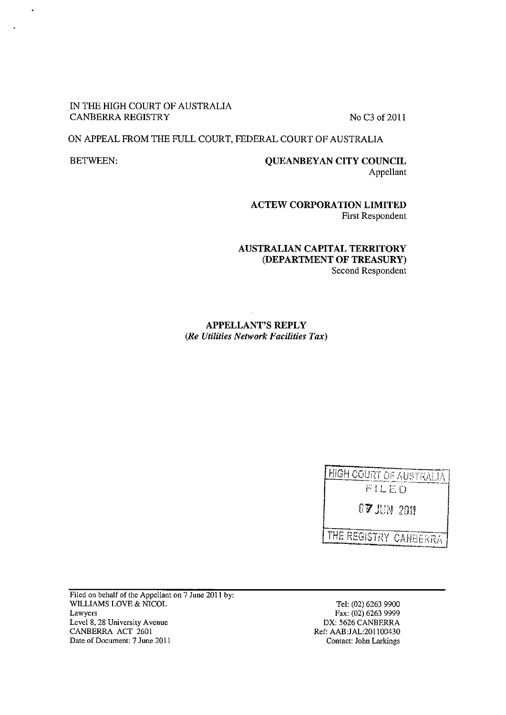#### IN THE HIGH COURT OF AUSTRALIA CANBERRA REGISTRY No C3 of 2011

## ON APPEAL FROM THE FULL COURT, FEDERAL COURT OF AUSTRALIA

# BETWEEN: QUEANBEY AN CITY COUNCIL Appellant

ACTEW CORPORATION LIMITED First Respondent

## AUSTRALIAN CAPITAL TERRITORY (DEPARTMENT OF TREASURY) Second Respondent

APPELLANT'S REPLY *(Re Utilities Network Facilities Tax)* 

| HIGH COURT OF AUSTRALIA         |
|---------------------------------|
| FILED                           |
| $0\,$ 7 $\,$ 11N $\,$ 2011 $\,$ |
| THE REGISTRY CANBERRA !         |

Filed on behalf of the Appellant on 7 June 2011 by: WILLIAMS LOVE & NICOL Lawyers Level 8, 28 University Avenue CANBERRA ACT 2601 Date of Document: 7 June 2011

Tel: (02) 6263 9900 Fax: (02) 6263 9999 DX: 5626 CANBERRA Ref: AAB:JAL:20ll00430 Contact: John Larkings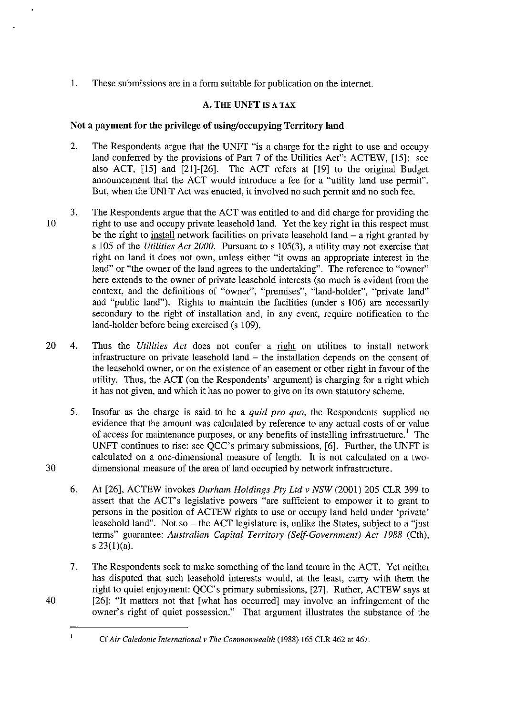1. These submissions are in a form suitable for publication on the internet.

## A. THE UNFT IS A TAX

## Not a payment for the privilege of using/occupying Territory **land**

- 2. The Respondents argue that the UNFf "is a charge for the right to use and occupy land conferred by the provisions of Part 7 of the Utilities Act": ACTEW, [15]; see also ACT, [15] and [21]-[26]. The ACT refers at [19] to the original Budget announcement that the ACT would introduce a fee for a "utility land use permit". But, when the UNFf Act was enacted, it involved no such permit and no such fee.
- 3. The Respondents argue that the ACT was entitled to and did charge for providing the 10 right to use and occupy private leasehold land. Yet the key right in this respect must be the right to install network facilities on private leasehold land  $-$  a right granted by s 105 of the *Utilities Act 2000.* Pursuant to s 105(3), a utility may not exercise that right on land it does not own, unless either "it owns an appropriate interest in the land" or "the owner of the land agrees to the undertaking". The reference to "owner" here extends to the owner of private leasehold interests (so much is evident from the context, and the definitions of "owner", "premises", "land-holder", "private land" and "public land"). Rights to maintain the facilities (under s 106) are necessarily secondary to the right of installation and, in any event, require notification to the land-holder before being exercised (s 109).
- 20 4. Thus the *Utilities Act* does not confer a right on utilities to install network infrastructure on private leasehold land - the installation depends on the consent of the leasehold owner, or on the existence of an easement or other right in favour of the utility. Thus, the ACT (on the Respondents' argument) is charging for a right which it has not given, and which it has no power to give on its own statutory scheme.
- 5. Insofar as the charge is said to be a *quid pro quo,* the Respondents supplied no evidence that the amount was calculated by reference to any actual costs of or value of access for maintenance purposes, or any benefits of installing infrastructure.<sup>1</sup> The UNFf continues to rise: see QCC's primary submissions, [6]. Further, the UNFf is calculated on a one-dimensional measure of length. It is not calculated on a two-30 dimensional measure of the area of land occupied by network infrastructure.
	- 6. At [26], ACTEW invokes *Durham Holdings Pty Ltd v NSW* (2001) 205 CLR 399 to assert that the ACT's legislative powers "are sufficient to empower it to grant to persons in the position of ACTEW rights to use or occupy land held under 'private' leasehold land". Not so  $-$  the ACT legislature is, unlike the States, subject to a "just" terms" guarantee: *Australian Capital Territory (Self-Government) Act* 1988 (Cth), s  $23(1)(a)$ .
	- 7. The Respondents seek to make something of the land tenure in the ACT. Yet neither has disputed that such leasehold interests would, at the least, carry with them the right to quiet enjoyment: QCC's primary submissions, [27]. Rather, ACTEW says at [26]: "It matters not that [what has occurred] may involve an infringement of the owner's right of quiet possession." That argument illustrates the substance of the

 $\mathbf{I}$ 

Cf *Air Caledonie International v The Commonwealth* (1988) 165 CLR 462 at 467.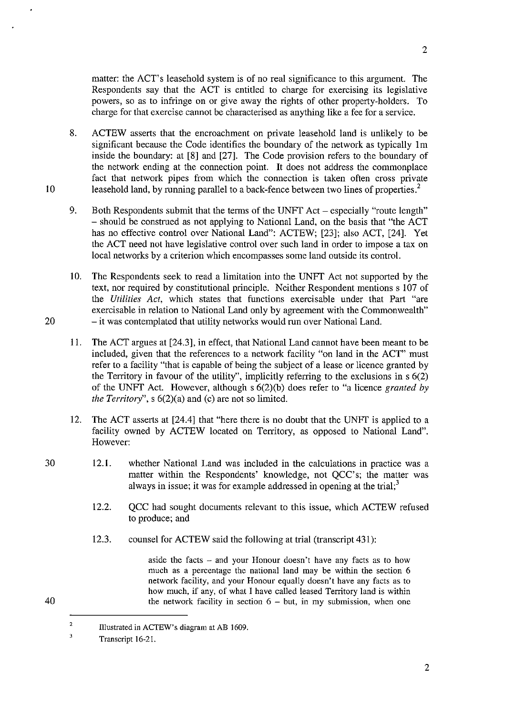matter: the ACT's leasehold system is of no real significance to this argument. The Respondents say that the ACT is entitled to charge for exercising its legislative powers, so as to infringe on or give away the rights of other property-holders. To charge for that exercise cannot be characterised as anything like a fee for a service.

- 8. ACTEW asserts that the encroachment on private leasehold land is unlikely to be significant because the Code identifies the boundary of the network as typically lm inside the boundary: at [8] and [27]. The Code provision refers to the boundary of the network ending at the connection point. It does not address the commonplace fact that network pipes from which the connection is taken often cross private leasehold land, by running parallel to a back-fence between two lines of properties.<sup>2</sup>
- 9. Both Respondents submit that the terms of the UNFT Act especially "route length" - should be construed as not applying to National Land, on the basis that "the ACT has no effective control over National Land": ACTEW; [23]; also ACT, [24]. Yet the ACT need not have legislative control over such land in order to impose a tax on local networks by a criterion which encompasses some land outside its control.
- 10. The Respondents seek to read a limitation into the UNFT Act not supported by the text, nor required by constitutional principle. Neither Respondent mentions s 107 of the *Utilities Act,* which states that functions exercisable under that Part "are exercisable in relation to National Land only by agreement with the Commonwealth" 20 - it was contemplated that utility networks would run over National Land.
	- 11. The ACT argues at [24.3], in effect, that National Land cannot have been meant to be included, given that the references to a network facility "on land in the ACT" must refer to a facility "that is capable of being the subject of a lease or licence granted by the Territory in favour of the utility", implicitly referring to the exclusions in  $s(2)$ of the UNFT Act. However, although s 6(2)(b) does refer to "a licence *granted* by *the Territory",* s 6(2)(a) and (c) are not so limited.
	- 12. The ACT asserts at [24.4] that "here there is no doubt that the UNFT is applied to a facility owned by ACTEW located on Territory, as opposed to National Land". However:
	- 12.1. whether National Land was included in the calculations in practice was a matter within the Respondents' knowledge, not QCC's; the matter was always in issue; it was for example addressed in opening at the trial; $<sup>3</sup>$ </sup>
		- 12.2. QCC had sought documents relevant to this issue, which ACTEW refused to produce; and
		- 12.3. counsel for ACTEW said the following at trial (transcript 431):

aside the facts - and your Honour doesn't have any facts as to how much as a percentage the national land may be within the section 6 network facility, and your Honour equally doesn't have any facts as to how much, if any, of what I have called leased Territory land is within the network facility in section  $6 - but$ , in my submission, when one

2

30

<sup>40</sup> 

Illustrated in ACTEW's diagram at AB 1609.

 $\overline{\mathbf{3}}$ Transcript 16-21.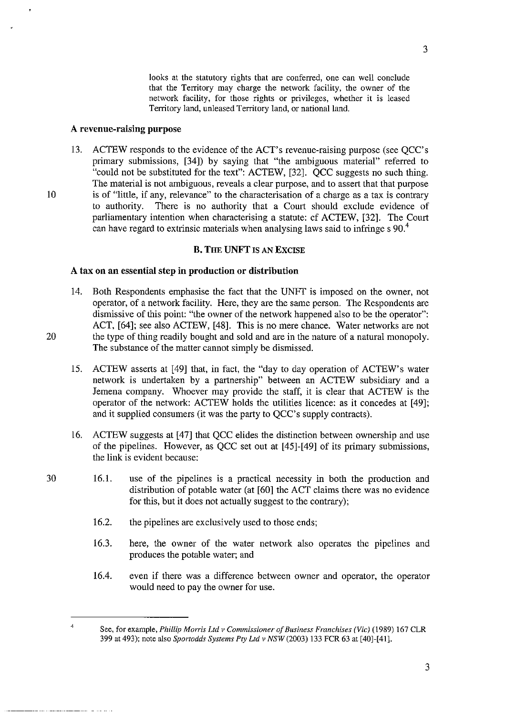looks at the statutory rights that are conferred, one can well conclude that the Territory may charge the network facility, the owner of the network facility, for those rights or privileges, whether it is leased Territory land, unleased Territory land, or national land.

#### A revenue-raising purpose

13. ACTEW responds to the evidence of the ACT's revenue-raising purpose (see QCC's primary submissions, [34]) by saying that "the ambiguous material" referred to "could not be substituted for the text": ACTEW, [32]. QCC suggests no such thing. The material is not ambiguous, reveals a clear purpose, and to assert that that purpose 10 is of "little, if any, relevance" to the characterisation of a charge as a tax is contrary<br>to authority. There is no authority that a Court should exclude evidence of There is no authority that a Court should exclude evidence of parliamentary intention when characterising a statute: cf ACTEW, [32]. The Court can have regard to extrinsic materials when analysing laws said to infringe s 90.<sup>4</sup>

### B. THE UNFT IS AN EXCISE

# A tax on an essential step in production or distribution

- 14. Both Respondents emphasise the fact that the UNFT is imposed on the owner, not operator, of a network facility. Here, they are the same person. The Respondents are dismissive of this point: "the owner of the network happened also to be the operator": ACT, [64]; see also ACTEW, [48]. This is no mere chance. Water networks are not 20 the type of thing readily bought and sold and are in the nature of a natural monopoly. The substance of the matter cannot simply be dismissed.
	- 15. ACTEW asserts at [49] that, in fact, the "day to day operation of ACTEW's water network is undertaken by a partnership" between an ACTEW subsidiary and a Jemena company. Whoever may provide the staff, it is clear that ACTEW is the operator of the network: ACTEW holds the utilities licence: as it concedes at [49]; and it supplied consumers (it was the party to QCC's supply contracts).
	- 16. ACTEW suggests at [47] that QCC elides the distinction between ownership and use of the pipelines. However, as QCC set out at [45]-[49] of its primary submissions, the link is evident because:
	- 16.1. use of the pipelines is a practical necessity in both the production and distribution of potable water (at [60] the ACT claims there was no evidence for this, but it does not actually suggest to the contrary);
		- 16.2. the pipelines are exclusively used to those ends;
		- 16.3. here, the owner of the water network also operates the pipelines and produces the potable water; and
		- 16.4. even if there was a difference between owner and operator, the operator would need to pay the owner for use.

4

See, for example, *Phillip Morris Ltd v Commissioner of Business Franchises (Vic)* (1989) 167 CLR 399 at 493); note also *Spartodds Systems Pty Ltd v NSW* (2003) 133 FCR 63 at [40]-[41].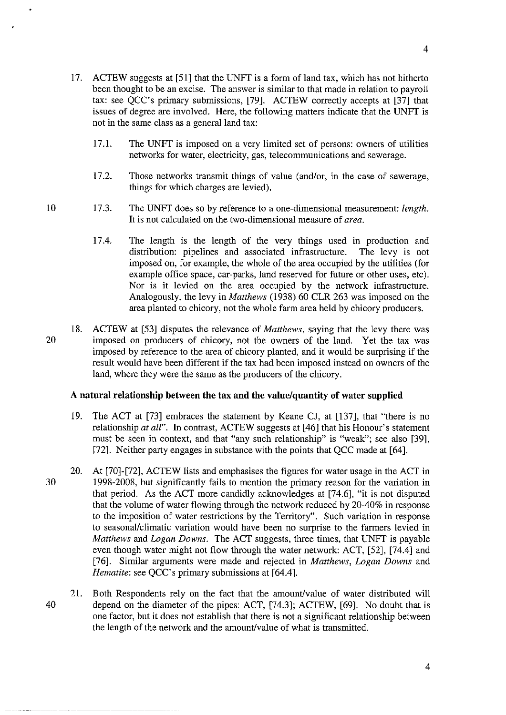- 17. ACTEW suggests at [51] that the UNFT is a form of land tax, which has not hitherto been thought to be an excise. The answer is similar to that made in relation to payroll tax: see QCC's primary submissions, [79]. ACTEW correctly accepts at [37] that issues of degree are involved. Here, the following matters indicate that the UNFT is not in the same class as a general land tax:
	- 17.1. The UNFT is imposed on a very limited set of persons: owners of utilities networks for water, electricity, gas, telecommunications and sewerage.
	- 17.2. Those networks transmit things of value (and/or, in the case of sewerage, things for which charges are levied).
- 17.3. The UNFT does so by reference to a one-dimensional measurement: *length.*  **It** is not calculated on the two-dimensional measure of *area.* 
	- 17.4. The length is the length of the very things used in production and distribution: pipelines and associated infrastructure. The levy is not imposed on, for example, the whole of the area occupied by the utilities (for example office space, car-parks, land reserved for future or other uses, etc). Nor is it levied on the area occupied by the network infrastructure. Analogously, the levy in *Matthews* (1938) 60 CLR 263 was imposed on the area planted to chicory, not the whole farm area held by chicory producers.
- 18. ACTEW at [53] disputes the relevance of *Matthews,* saying that the levy there was 20 imposed on producers of chicory, not the owners of the land. Yet the tax was imposed by reference to the area of chicory planted, and it would be surprising if the result would have been different if the tax had been imposed instead on owners of the land, where they were the same as the producers of the chicory.

#### **A natural relationship between the tax and the value/quantity of water supplied**

- 19. The ACT at [73] embraces the statement by Keane CJ, at [137], that "there is no relationship *at all".* In contrast, ACTEW suggests at [46] that his Honour's statement must be seen in context, and that "any such relationship" is "weak"; see also [39], [72]. Neither party engages in substance with the points that QCC made at [64].
- 20. At [70]-[72], ACTEW lists and emphasises the figures for water usage in the ACT in 30 1998-2008, but significantly fails to mention the primary reason for the variation in that period. As the ACT more candidly acknowledges at [74.6], "it is not disputed that the volume of water flowing through the network reduced by 20-40% in response to the imposition of water restrictions by the Territory". Such variation in response to seasonal/climatic variation would have been no surprise to the farmers levied in *Matthews* and *Logan Downs.* The ACT suggests, three times, that UNFT is payable even though water might not flow through the water network: ACT, [52], [74.4] and [76]. Similar arguments were made and rejected in *Matthews, Logan Downs* and *Hematite:* see QCC's primary submissions at [64.4].
- 21. Both Respondents rely on the fact that the amount/value of water distributed will 40 depend on the diameter of the pipes: ACT, [74.3]; ACTEW, [69]. No doubt that is one factor, but it does not establish that there is not a significant relationship between the length of the network and the amount/value of what is transmitted.